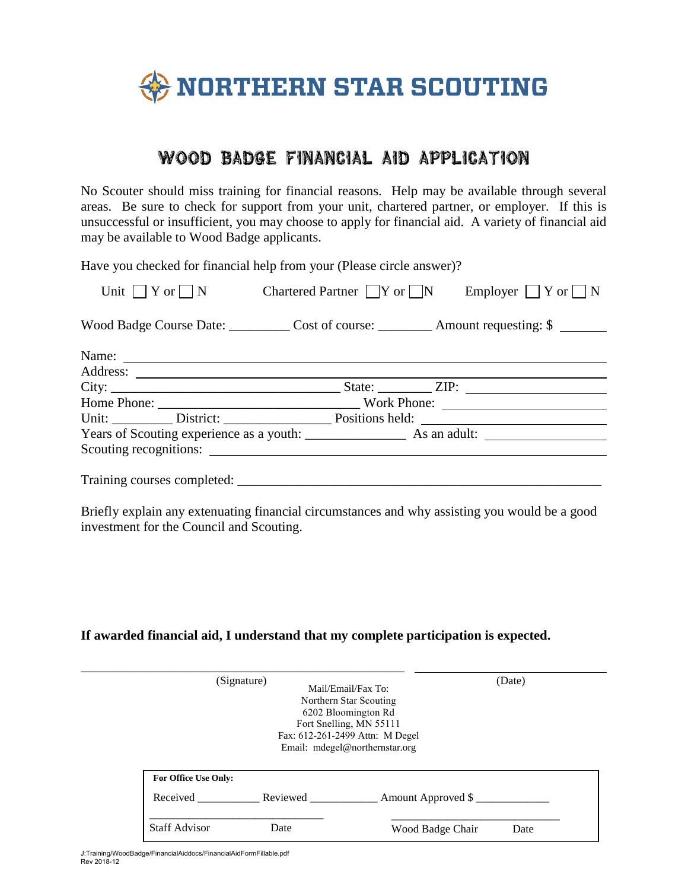

## WOOD BADGE FINANCIAL AID APPLICATION

No Scouter should miss training for financial reasons. Help may be available through several areas. Be sure to check for support from your unit, chartered partner, or employer. If this is unsuccessful or insufficient, you may choose to apply for financial aid. A variety of financial aid may be available to Wood Badge applicants.

Have you checked for financial help from your (Please circle answer)?

| Unit $\bigcap$ Y or $\bigcap$ N                                                       |  |  | Chartered Partner $\Box Y$ or $\Box N$ Employer $\Box Y$ or $\Box N$ |
|---------------------------------------------------------------------------------------|--|--|----------------------------------------------------------------------|
| Wood Badge Course Date: ____________ Cost of course: __________ Amount requesting: \$ |  |  |                                                                      |
| Name:                                                                                 |  |  |                                                                      |
|                                                                                       |  |  |                                                                      |
|                                                                                       |  |  |                                                                      |
|                                                                                       |  |  |                                                                      |
|                                                                                       |  |  |                                                                      |
|                                                                                       |  |  |                                                                      |
| Scouting recognitions:                                                                |  |  |                                                                      |
|                                                                                       |  |  |                                                                      |
|                                                                                       |  |  |                                                                      |

Briefly explain any extenuating financial circumstances and why assisting you would be a good investment for the Council and Scouting.

## **If awarded financial aid, I understand that my complete participation is expected.**

|                             | (Signature)       | Mail/Email/Fax To:<br>Northern Star Scouting<br>6202 Bloomington Rd<br>Fort Snelling, MN 55111<br>Fax: 612-261-2499 Attn: M Degel<br>Email: mdegel@northernstar.org | (Date) |
|-----------------------------|-------------------|---------------------------------------------------------------------------------------------------------------------------------------------------------------------|--------|
|                             |                   |                                                                                                                                                                     |        |
| <b>For Office Use Only:</b> |                   |                                                                                                                                                                     |        |
|                             | Received Reviewed | Amount Approved \$                                                                                                                                                  |        |